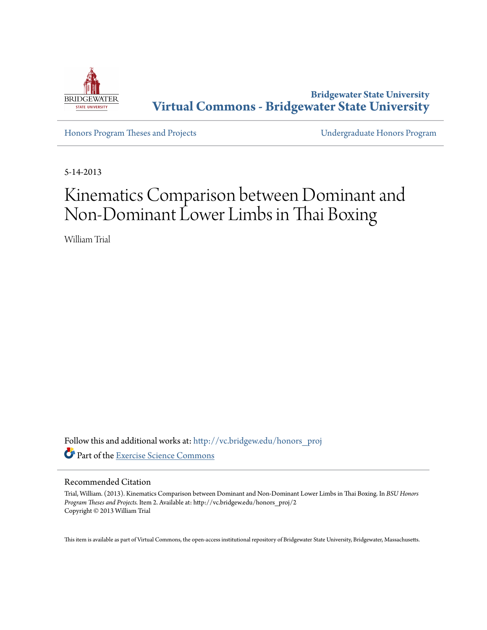

**Bridgewater State University [Virtual Commons - Bridgewater State University](http://vc.bridgew.edu?utm_source=vc.bridgew.edu%2Fhonors_proj%2F2&utm_medium=PDF&utm_campaign=PDFCoverPages)**

[Honors Program Theses and Projects](http://vc.bridgew.edu/honors_proj?utm_source=vc.bridgew.edu%2Fhonors_proj%2F2&utm_medium=PDF&utm_campaign=PDFCoverPages) [Undergraduate Honors Program](http://vc.bridgew.edu/honors?utm_source=vc.bridgew.edu%2Fhonors_proj%2F2&utm_medium=PDF&utm_campaign=PDFCoverPages)

5-14-2013

# Kinematics Comparison between Dominant and Non-Dominant Lower Limbs in Thai Boxing

William Trial

Follow this and additional works at: [http://vc.bridgew.edu/honors\\_proj](http://vc.bridgew.edu/honors_proj?utm_source=vc.bridgew.edu%2Fhonors_proj%2F2&utm_medium=PDF&utm_campaign=PDFCoverPages) Part of the [Exercise Science Commons](http://network.bepress.com/hgg/discipline/1091?utm_source=vc.bridgew.edu%2Fhonors_proj%2F2&utm_medium=PDF&utm_campaign=PDFCoverPages)

#### Recommended Citation

Trial, William. (2013). Kinematics Comparison between Dominant and Non-Dominant Lower Limbs in Thai Boxing. In *BSU Honors Program Theses and Projects.* Item 2. Available at: http://vc.bridgew.edu/honors\_proj/2 Copyright © 2013 William Trial

This item is available as part of Virtual Commons, the open-access institutional repository of Bridgewater State University, Bridgewater, Massachusetts.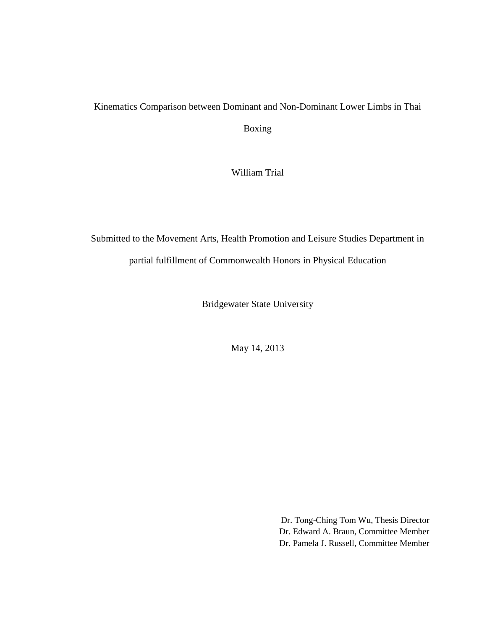## Kinematics Comparison between Dominant and Non-Dominant Lower Limbs in Thai

Boxing

William Trial

## Submitted to the Movement Arts, Health Promotion and Leisure Studies Department in partial fulfillment of Commonwealth Honors in Physical Education

Bridgewater State University

May 14, 2013

Dr. Tong-Ching Tom Wu, Thesis Director Dr. Edward A. Braun, Committee Member Dr. Pamela J. Russell, Committee Member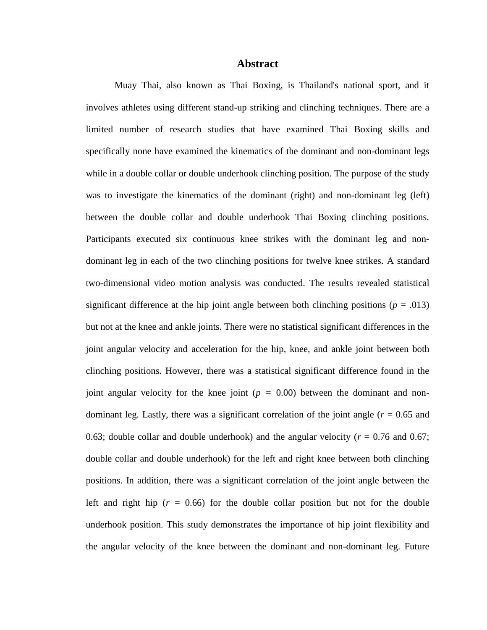#### **Abstract**

Muay Thai, also known as Thai Boxing, is Thailand's national sport, and it involves athletes using different stand-up striking and clinching techniques. There are a limited number of research studies that have examined Thai Boxing skills and specifically none have examined the kinematics of the dominant and non-dominant legs while in a double collar or double underhook clinching position. The purpose of the study was to investigate the kinematics of the dominant (right) and non-dominant leg (left) between the double collar and double underhook Thai Boxing clinching positions. Participants executed six continuous knee strikes with the dominant leg and nondominant leg in each of the two clinching positions for twelve knee strikes. A standard two-dimensional video motion analysis was conducted. The results revealed statistical significant difference at the hip joint angle between both clinching positions ( $p = .013$ ) but not at the knee and ankle joints. There were no statistical significant differences in the joint angular velocity and acceleration for the hip, knee, and ankle joint between both clinching positions*.* However, there was a statistical significant difference found in the joint angular velocity for the knee joint ( $p = 0.00$ ) between the dominant and nondominant leg. Lastly, there was a significant correlation of the joint angle  $(r = 0.65$  and 0.63; double collar and double underhook) and the angular velocity ( $r = 0.76$  and 0.67; double collar and double underhook) for the left and right knee between both clinching positions. In addition, there was a significant correlation of the joint angle between the left and right hip  $(r = 0.66)$  for the double collar position but not for the double underhook position. This study demonstrates the importance of hip joint flexibility and the angular velocity of the knee between the dominant and non-dominant leg. Future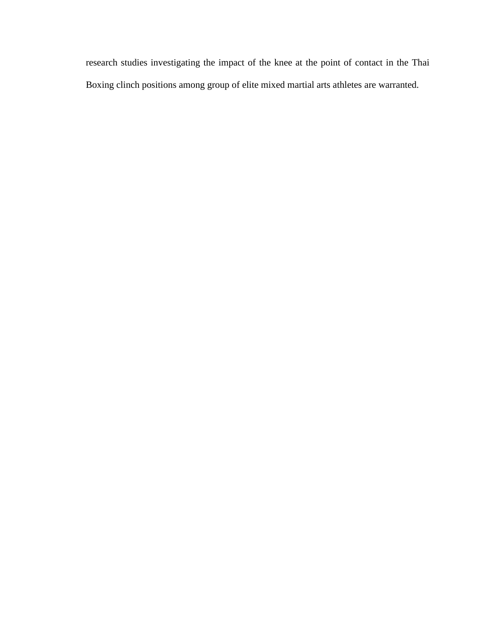research studies investigating the impact of the knee at the point of contact in the Thai Boxing clinch positions among group of elite mixed martial arts athletes are warranted.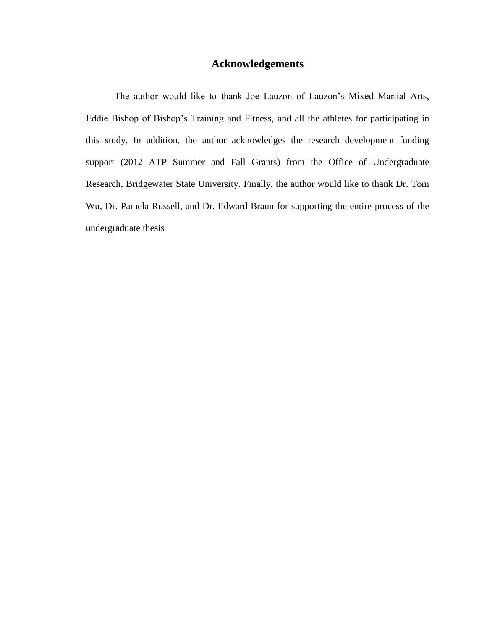#### **Acknowledgements**

The author would like to thank Joe Lauzon of Lauzon's Mixed Martial Arts, Eddie Bishop of Bishop's Training and Fitness, and all the athletes for participating in this study. In addition, the author acknowledges the research development funding support (2012 ATP Summer and Fall Grants) from the Office of Undergraduate Research, Bridgewater State University. Finally, the author would like to thank Dr. Tom Wu, Dr. Pamela Russell, and Dr. Edward Braun for supporting the entire process of the undergraduate thesis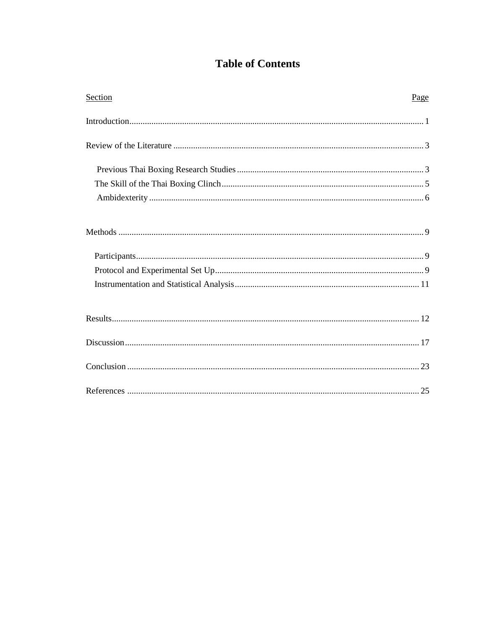### **Table of Contents**

| Section | Page |
|---------|------|
|         |      |
|         |      |
|         |      |
|         |      |
|         |      |
|         |      |
|         |      |
|         |      |
|         |      |
|         |      |
|         |      |
|         |      |
|         |      |
|         |      |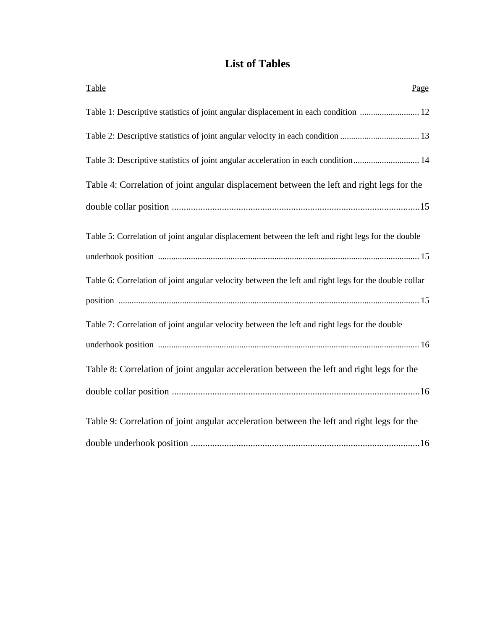### **List of Tables**

| Table<br>Page                                                                                        |
|------------------------------------------------------------------------------------------------------|
| Table 1: Descriptive statistics of joint angular displacement in each condition  12                  |
|                                                                                                      |
| Table 3: Descriptive statistics of joint angular acceleration in each condition 14                   |
| Table 4: Correlation of joint angular displacement between the left and right legs for the           |
|                                                                                                      |
| Table 5: Correlation of joint angular displacement between the left and right legs for the double    |
|                                                                                                      |
| Table 6: Correlation of joint angular velocity between the left and right legs for the double collar |
|                                                                                                      |
| Table 7: Correlation of joint angular velocity between the left and right legs for the double        |
|                                                                                                      |
| Table 8: Correlation of joint angular acceleration between the left and right legs for the           |
|                                                                                                      |
| Table 9: Correlation of joint angular acceleration between the left and right legs for the           |
|                                                                                                      |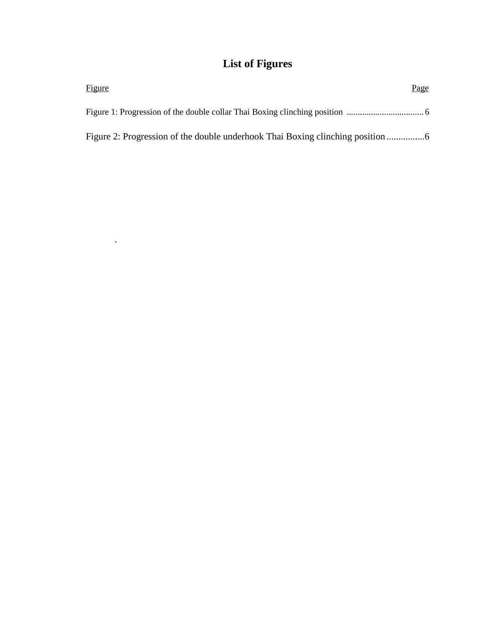## **List of Figures**

| <b>Figure</b> | Page |
|---------------|------|
|               |      |
|               |      |

.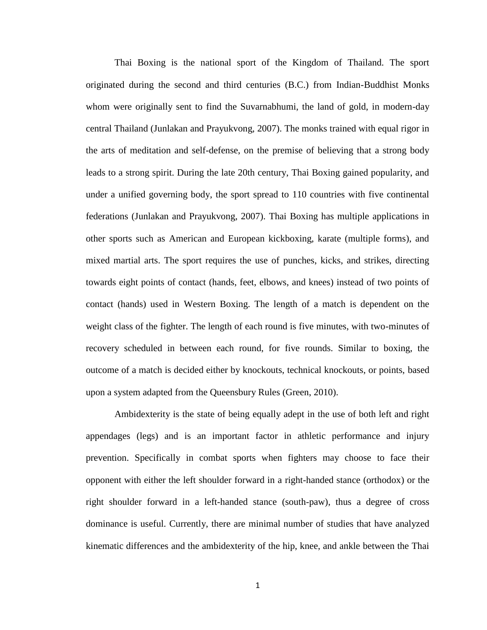Thai Boxing is the national sport of the Kingdom of Thailand. The sport originated during the second and third centuries (B.C.) from Indian-Buddhist Monks whom were originally sent to find the Suvarnabhumi, the land of gold, in modern-day central Thailand (Junlakan and Prayukvong, 2007). The monks trained with equal rigor in the arts of meditation and self-defense, on the premise of believing that a strong body leads to a strong spirit. During the late 20th century, Thai Boxing gained popularity, and under a unified governing body, the sport spread to 110 countries with five continental federations (Junlakan and Prayukvong, 2007). Thai Boxing has multiple applications in other sports such as American and European kickboxing, karate (multiple forms), and mixed martial arts. The sport requires the use of punches, kicks, and strikes, directing towards eight points of contact (hands, feet, elbows, and knees) instead of two points of contact (hands) used in Western Boxing. The length of a match is dependent on the weight class of the fighter. The length of each round is five minutes, with two-minutes of recovery scheduled in between each round, for five rounds. Similar to boxing, the outcome of a match is decided either by knockouts, technical knockouts, or points, based upon a system adapted from the Queensbury Rules (Green, 2010).

Ambidexterity is the state of being equally adept in the use of both left and right appendages (legs) and is an important factor in athletic performance and injury prevention. Specifically in combat sports when fighters may choose to face their opponent with either the left shoulder forward in a right-handed stance (orthodox) or the right shoulder forward in a left-handed stance (south-paw), thus a degree of cross dominance is useful. Currently, there are minimal number of studies that have analyzed kinematic differences and the ambidexterity of the hip, knee, and ankle between the Thai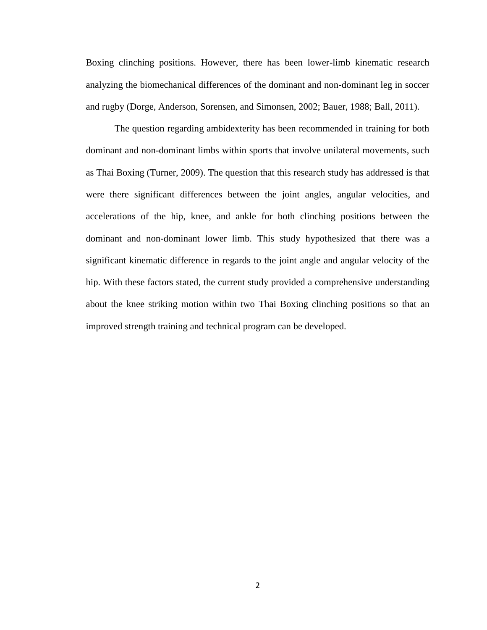Boxing clinching positions. However, there has been lower-limb kinematic research analyzing the biomechanical differences of the dominant and non-dominant leg in soccer and rugby (Dorge, Anderson, Sorensen, and Simonsen, 2002; Bauer, 1988; Ball, 2011).

The question regarding ambidexterity has been recommended in training for both dominant and non-dominant limbs within sports that involve unilateral movements, such as Thai Boxing (Turner, 2009). The question that this research study has addressed is that were there significant differences between the joint angles, angular velocities, and accelerations of the hip, knee, and ankle for both clinching positions between the dominant and non-dominant lower limb. This study hypothesized that there was a significant kinematic difference in regards to the joint angle and angular velocity of the hip. With these factors stated, the current study provided a comprehensive understanding about the knee striking motion within two Thai Boxing clinching positions so that an improved strength training and technical program can be developed.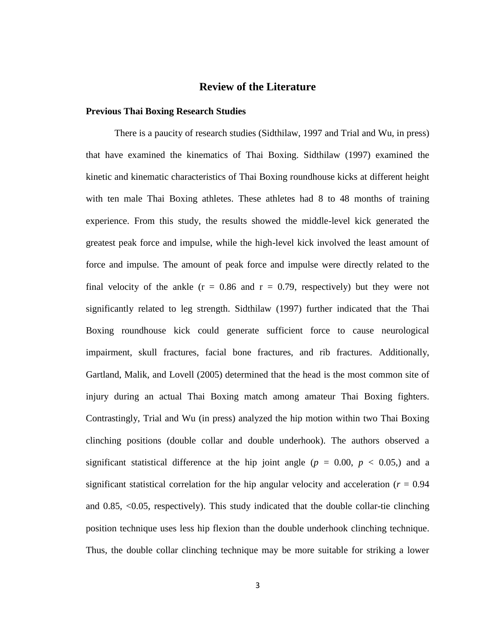#### **Review of the Literature**

#### **Previous Thai Boxing Research Studies**

There is a paucity of research studies (Sidthilaw, 1997 and Trial and Wu, in press) that have examined the kinematics of Thai Boxing. Sidthilaw (1997) examined the kinetic and kinematic characteristics of Thai Boxing roundhouse kicks at different height with ten male Thai Boxing athletes. These athletes had 8 to 48 months of training experience. From this study, the results showed the middle-level kick generated the greatest peak force and impulse, while the high-level kick involved the least amount of force and impulse. The amount of peak force and impulse were directly related to the final velocity of the ankle ( $r = 0.86$  and  $r = 0.79$ , respectively) but they were not significantly related to leg strength. Sidthilaw (1997) further indicated that the Thai Boxing roundhouse kick could generate sufficient force to cause neurological impairment, skull fractures, facial bone fractures, and rib fractures. Additionally, Gartland, Malik, and Lovell (2005) determined that the head is the most common site of injury during an actual Thai Boxing match among amateur Thai Boxing fighters. Contrastingly, Trial and Wu (in press) analyzed the hip motion within two Thai Boxing clinching positions (double collar and double underhook). The authors observed a significant statistical difference at the hip joint angle ( $p = 0.00, p < 0.05$ .) and a significant statistical correlation for the hip angular velocity and acceleration ( $r = 0.94$ ) and 0.85, <0.05, respectively). This study indicated that the double collar-tie clinching position technique uses less hip flexion than the double underhook clinching technique. Thus, the double collar clinching technique may be more suitable for striking a lower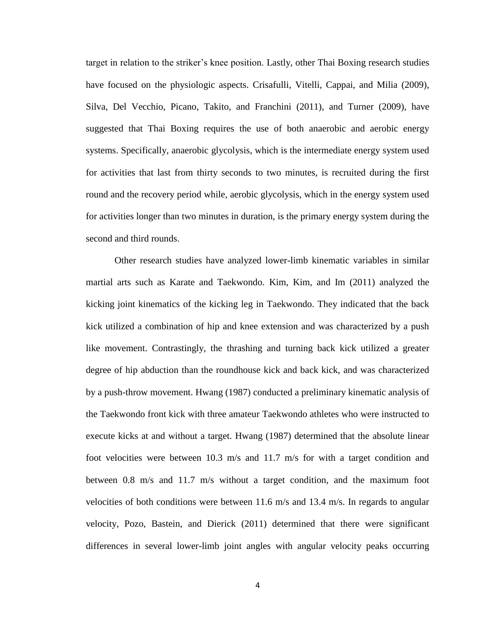target in relation to the striker's knee position. Lastly, other Thai Boxing research studies have focused on the physiologic aspects. Crisafulli, Vitelli, Cappai, and Milia (2009), Silva, Del Vecchio, Picano, Takito, and Franchini (2011), and Turner (2009), have suggested that Thai Boxing requires the use of both anaerobic and aerobic energy systems. Specifically, anaerobic glycolysis, which is the intermediate energy system used for activities that last from thirty seconds to two minutes, is recruited during the first round and the recovery period while, aerobic glycolysis, which in the energy system used for activities longer than two minutes in duration, is the primary energy system during the second and third rounds.

Other research studies have analyzed lower-limb kinematic variables in similar martial arts such as Karate and Taekwondo. Kim, Kim, and Im (2011) analyzed the kicking joint kinematics of the kicking leg in Taekwondo. They indicated that the back kick utilized a combination of hip and knee extension and was characterized by a push like movement. Contrastingly, the thrashing and turning back kick utilized a greater degree of hip abduction than the roundhouse kick and back kick, and was characterized by a push-throw movement. Hwang (1987) conducted a preliminary kinematic analysis of the Taekwondo front kick with three amateur Taekwondo athletes who were instructed to execute kicks at and without a target. Hwang (1987) determined that the absolute linear foot velocities were between 10.3 m/s and 11.7 m/s for with a target condition and between 0.8 m/s and 11.7 m/s without a target condition, and the maximum foot velocities of both conditions were between 11.6 m/s and 13.4 m/s. In regards to angular velocity, Pozo, Bastein, and Dierick (2011) determined that there were significant differences in several lower-limb joint angles with angular velocity peaks occurring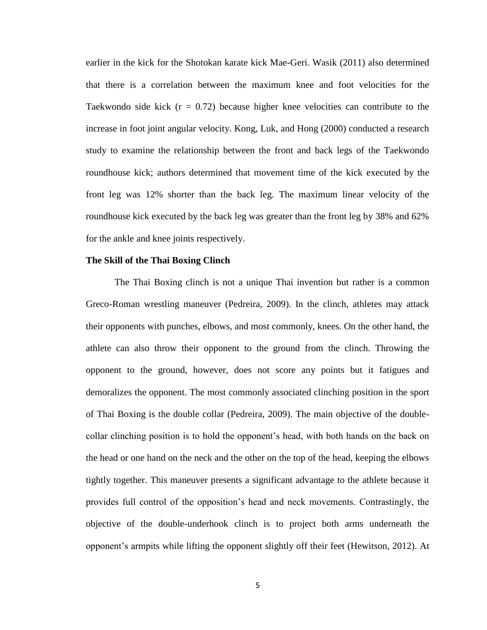earlier in the kick for the Shotokan karate kick Mae-Geri. Wasik (2011) also determined that there is a correlation between the maximum knee and foot velocities for the Taekwondo side kick  $(r = 0.72)$  because higher knee velocities can contribute to the increase in foot joint angular velocity. Kong, Luk, and Hong (2000) conducted a research study to examine the relationship between the front and back legs of the Taekwondo roundhouse kick; authors determined that movement time of the kick executed by the front leg was 12% shorter than the back leg. The maximum linear velocity of the roundhouse kick executed by the back leg was greater than the front leg by 38% and 62% for the ankle and knee joints respectively.

#### **The Skill of the Thai Boxing Clinch**

The Thai Boxing clinch is not a unique Thai invention but rather is a common Greco-Roman wrestling maneuver (Pedreira, 2009). In the clinch, athletes may attack their opponents with punches, elbows, and most commonly, knees. On the other hand, the athlete can also throw their opponent to the ground from the clinch. Throwing the opponent to the ground, however, does not score any points but it fatigues and demoralizes the opponent. The most commonly associated clinching position in the sport of Thai Boxing is the double collar (Pedreira, 2009). The main objective of the doublecollar clinching position is to hold the opponent's head, with both hands on the back on the head or one hand on the neck and the other on the top of the head, keeping the elbows tightly together. This maneuver presents a significant advantage to the athlete because it provides full control of the opposition's head and neck movements. Contrastingly, the objective of the double-underhook clinch is to project both arms underneath the opponent's armpits while lifting the opponent slightly off their feet (Hewitson, 2012). At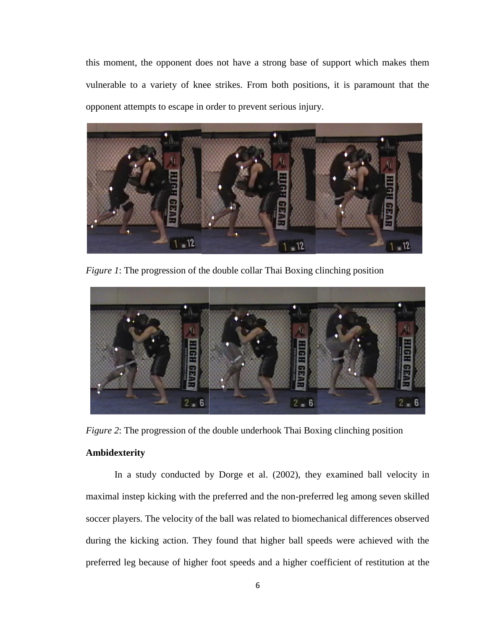this moment, the opponent does not have a strong base of support which makes them vulnerable to a variety of knee strikes. From both positions, it is paramount that the opponent attempts to escape in order to prevent serious injury.



*Figure 1*: The progression of the double collar Thai Boxing clinching position



*Figure 2*: The progression of the double underhook Thai Boxing clinching position

#### **Ambidexterity**

In a study conducted by Dorge et al. (2002), they examined ball velocity in maximal instep kicking with the preferred and the non-preferred leg among seven skilled soccer players. The velocity of the ball was related to biomechanical differences observed during the kicking action. They found that higher ball speeds were achieved with the preferred leg because of higher foot speeds and a higher coefficient of restitution at the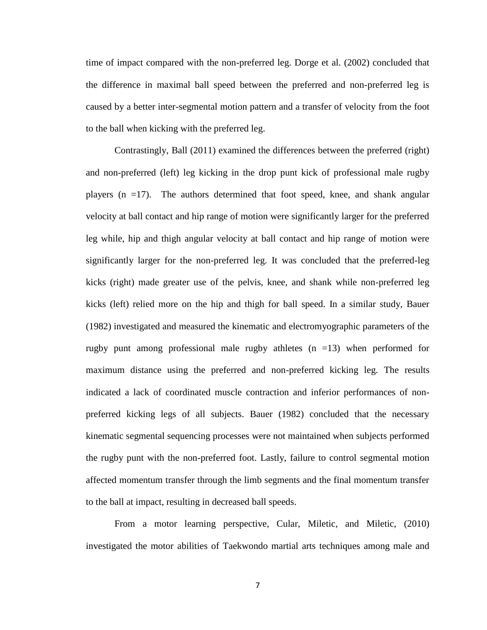time of impact compared with the non-preferred leg. Dorge et al. (2002) concluded that the difference in maximal ball speed between the preferred and non-preferred leg is caused by a better inter-segmental motion pattern and a transfer of velocity from the foot to the ball when kicking with the preferred leg.

Contrastingly, Ball (2011) examined the differences between the preferred (right) and non-preferred (left) leg kicking in the drop punt kick of professional male rugby players  $(n = 17)$ . The authors determined that foot speed, knee, and shank angular velocity at ball contact and hip range of motion were significantly larger for the preferred leg while, hip and thigh angular velocity at ball contact and hip range of motion were significantly larger for the non-preferred leg. It was concluded that the preferred-leg kicks (right) made greater use of the pelvis, knee, and shank while non-preferred leg kicks (left) relied more on the hip and thigh for ball speed. In a similar study, Bauer (1982) investigated and measured the kinematic and electromyographic parameters of the rugby punt among professional male rugby athletes  $(n = 13)$  when performed for maximum distance using the preferred and non-preferred kicking leg. The results indicated a lack of coordinated muscle contraction and inferior performances of nonpreferred kicking legs of all subjects. Bauer (1982) concluded that the necessary kinematic segmental sequencing processes were not maintained when subjects performed the rugby punt with the non-preferred foot. Lastly, failure to control segmental motion affected momentum transfer through the limb segments and the final momentum transfer to the ball at impact, resulting in decreased ball speeds.

From a motor learning perspective, Cular, Miletic, and Miletic, (2010) investigated the motor abilities of Taekwondo martial arts techniques among male and

7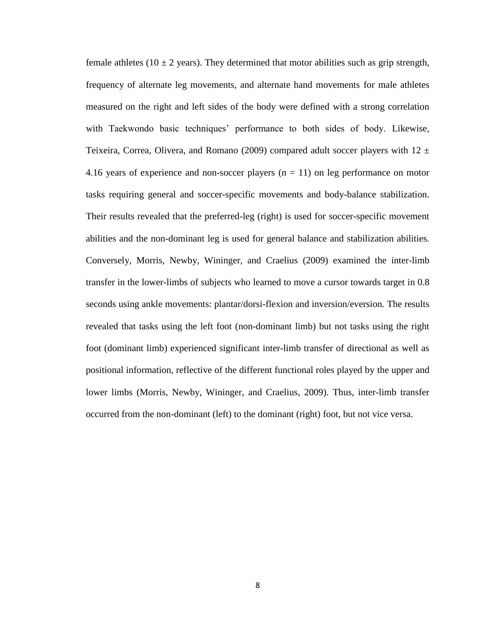female athletes (10  $\pm$  2 years). They determined that motor abilities such as grip strength, frequency of alternate leg movements, and alternate hand movements for male athletes measured on the right and left sides of the body were defined with a strong correlation with Taekwondo basic techniques' performance to both sides of body. Likewise, Teixeira, Correa, Olivera, and Romano (2009) compared adult soccer players with  $12 \pm$ 4.16 years of experience and non-soccer players  $(n = 11)$  on leg performance on motor tasks requiring general and soccer-specific movements and body-balance stabilization. Their results revealed that the preferred-leg (right) is used for soccer-specific movement abilities and the non-dominant leg is used for general balance and stabilization abilities. Conversely, Morris, Newby, Wininger, and Craelius (2009) examined the inter-limb transfer in the lower-limbs of subjects who learned to move a cursor towards target in 0.8 seconds using ankle movements: plantar/dorsi-flexion and inversion/eversion. The results revealed that tasks using the left foot (non-dominant limb) but not tasks using the right foot (dominant limb) experienced significant inter-limb transfer of directional as well as positional information, reflective of the different functional roles played by the upper and lower limbs (Morris, Newby, Wininger, and Craelius, 2009). Thus, inter-limb transfer occurred from the non-dominant (left) to the dominant (right) foot, but not vice versa.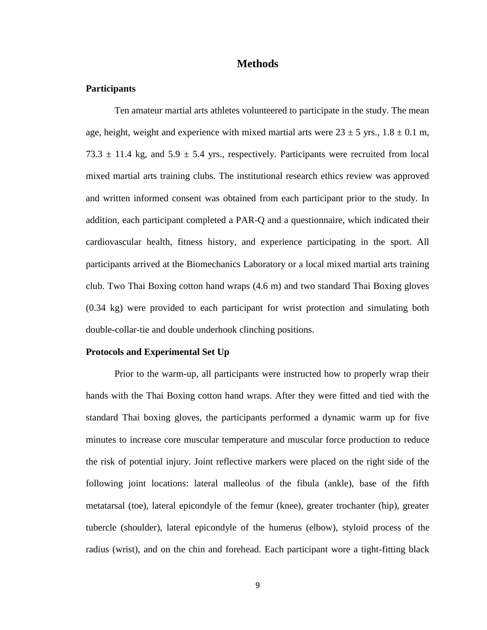#### **Methods**

#### **Participants**

Ten amateur martial arts athletes volunteered to participate in the study. The mean age, height, weight and experience with mixed martial arts were  $23 \pm 5$  yrs.,  $1.8 \pm 0.1$  m, 73.3  $\pm$  11.4 kg, and 5.9  $\pm$  5.4 yrs., respectively. Participants were recruited from local mixed martial arts training clubs. The institutional research ethics review was approved and written informed consent was obtained from each participant prior to the study. In addition, each participant completed a PAR-Q and a questionnaire, which indicated their cardiovascular health, fitness history, and experience participating in the sport. All participants arrived at the Biomechanics Laboratory or a local mixed martial arts training club. Two Thai Boxing cotton hand wraps (4.6 m) and two standard Thai Boxing gloves (0.34 kg) were provided to each participant for wrist protection and simulating both double-collar-tie and double underhook clinching positions.

#### **Protocols and Experimental Set Up**

Prior to the warm-up, all participants were instructed how to properly wrap their hands with the Thai Boxing cotton hand wraps. After they were fitted and tied with the standard Thai boxing gloves, the participants performed a dynamic warm up for five minutes to increase core muscular temperature and muscular force production to reduce the risk of potential injury. Joint reflective markers were placed on the right side of the following joint locations: lateral malleolus of the fibula (ankle), base of the fifth metatarsal (toe), lateral epicondyle of the femur (knee), greater trochanter (hip), greater tubercle (shoulder), lateral epicondyle of the humerus (elbow), styloid process of the radius (wrist), and on the chin and forehead. Each participant wore a tight-fitting black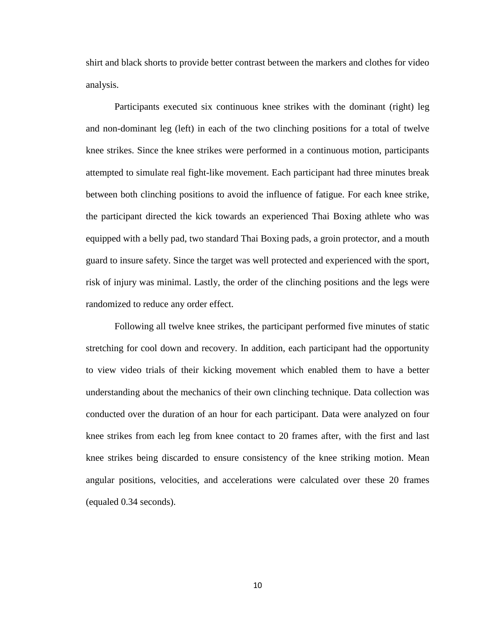shirt and black shorts to provide better contrast between the markers and clothes for video analysis.

Participants executed six continuous knee strikes with the dominant (right) leg and non-dominant leg (left) in each of the two clinching positions for a total of twelve knee strikes. Since the knee strikes were performed in a continuous motion, participants attempted to simulate real fight-like movement. Each participant had three minutes break between both clinching positions to avoid the influence of fatigue. For each knee strike, the participant directed the kick towards an experienced Thai Boxing athlete who was equipped with a belly pad, two standard Thai Boxing pads, a groin protector, and a mouth guard to insure safety. Since the target was well protected and experienced with the sport, risk of injury was minimal. Lastly, the order of the clinching positions and the legs were randomized to reduce any order effect.

Following all twelve knee strikes, the participant performed five minutes of static stretching for cool down and recovery. In addition, each participant had the opportunity to view video trials of their kicking movement which enabled them to have a better understanding about the mechanics of their own clinching technique. Data collection was conducted over the duration of an hour for each participant. Data were analyzed on four knee strikes from each leg from knee contact to 20 frames after, with the first and last knee strikes being discarded to ensure consistency of the knee striking motion. Mean angular positions, velocities, and accelerations were calculated over these 20 frames (equaled 0.34 seconds).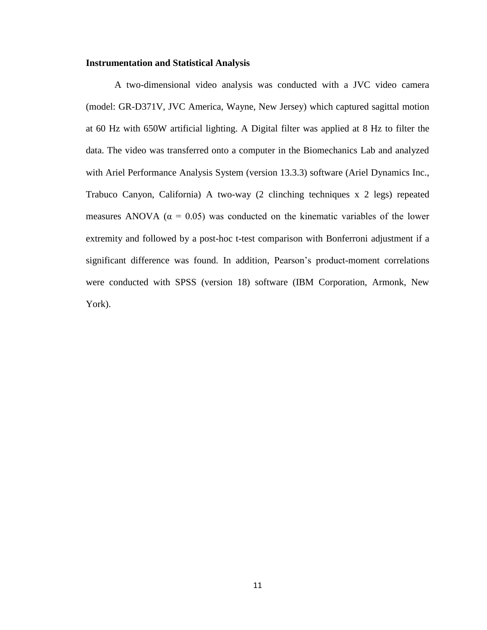#### **Instrumentation and Statistical Analysis**

A two-dimensional video analysis was conducted with a JVC video camera (model: GR-D371V, JVC America, Wayne, New Jersey) which captured sagittal motion at 60 Hz with 650W artificial lighting. A Digital filter was applied at 8 Hz to filter the data. The video was transferred onto a computer in the Biomechanics Lab and analyzed with Ariel Performance Analysis System (version 13.3.3) software (Ariel Dynamics Inc., Trabuco Canyon, California) A two-way (2 clinching techniques x 2 legs) repeated measures ANOVA ( $\alpha$  = 0.05) was conducted on the kinematic variables of the lower extremity and followed by a post-hoc t-test comparison with Bonferroni adjustment if a significant difference was found. In addition, Pearson's product-moment correlations were conducted with SPSS (version 18) software (IBM Corporation, Armonk, New York).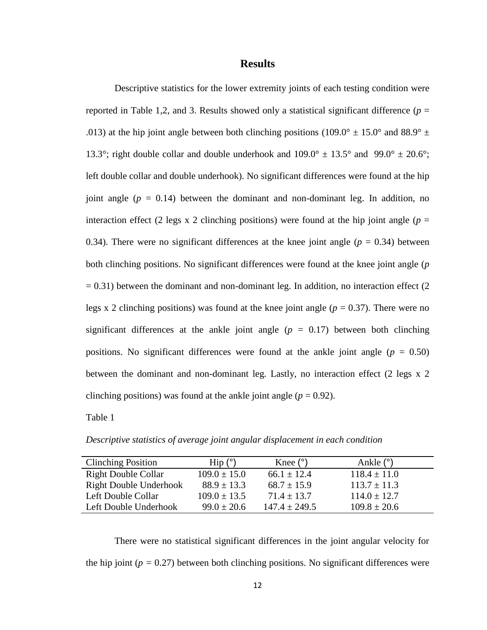#### **Results**

Descriptive statistics for the lower extremity joints of each testing condition were reported in Table 1,2, and 3. Results showed only a statistical significant difference  $(p =$ .013) at the hip joint angle between both clinching positions (109.0°  $\pm$  15.0° and 88.9°  $\pm$ 13.3°; right double collar and double underhook and  $109.0^{\circ} \pm 13.5^{\circ}$  and  $99.0^{\circ} \pm 20.6^{\circ}$ ; left double collar and double underhook). No significant differences were found at the hip joint angle  $(p = 0.14)$  between the dominant and non-dominant leg. In addition, no interaction effect (2 legs x 2 clinching positions) were found at the hip joint angle ( $p =$ 0.34). There were no significant differences at the knee joint angle  $(p = 0.34)$  between both clinching positions. No significant differences were found at the knee joint angle (*p*  $= 0.31$ ) between the dominant and non-dominant leg. In addition, no interaction effect (2) legs x 2 clinching positions) was found at the knee joint angle ( $p = 0.37$ ). There were no significant differences at the ankle joint angle  $(p = 0.17)$  between both clinching positions. No significant differences were found at the ankle joint angle  $(p = 0.50)$ between the dominant and non-dominant leg. Lastly, no interaction effect (2 legs x 2 clinching positions) was found at the ankle joint angle  $(p = 0.92)$ .

Table 1

| <b>Clinching Position</b>     | $\operatorname{Hip}$ (°) | Knee $(°)$      | Ankle $(°)$      |
|-------------------------------|--------------------------|-----------------|------------------|
| <b>Right Double Collar</b>    | $109.0 \pm 15.0$         | $66.1 + 12.4$   | $118.4 \pm 11.0$ |
| <b>Right Double Underhook</b> | $88.9 \pm 13.3$          | $68.7 \pm 15.9$ | $113.7 \pm 11.3$ |
| Left Double Collar            | $109.0 \pm 13.5$         | $71.4 + 13.7$   | $114.0 \pm 12.7$ |
| Left Double Underhook         | $99.0 \pm 20.6$          | $147.4 + 249.5$ | $109.8 \pm 20.6$ |

*Descriptive statistics of average joint angular displacement in each condition*

There were no statistical significant differences in the joint angular velocity for the hip joint ( $p = 0.27$ ) between both clinching positions. No significant differences were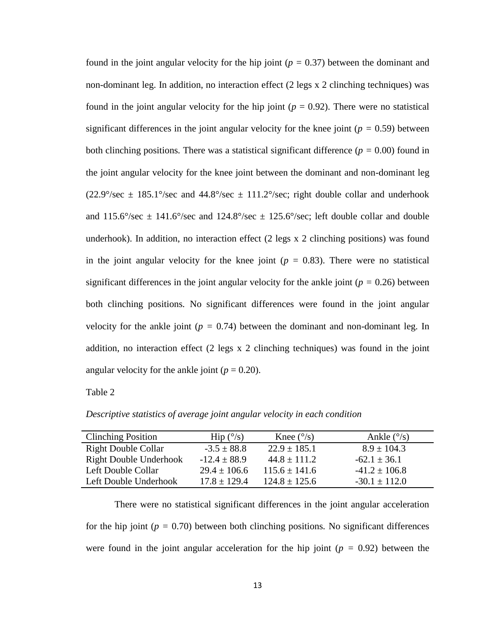found in the joint angular velocity for the hip joint (*p =* 0.37) between the dominant and non-dominant leg. In addition, no interaction effect (2 legs x 2 clinching techniques) was found in the joint angular velocity for the hip joint  $(p = 0.92)$ . There were no statistical significant differences in the joint angular velocity for the knee joint  $(p = 0.59)$  between both clinching positions*.* There was a statistical significant difference (*p =* 0.00) found in the joint angular velocity for the knee joint between the dominant and non-dominant leg  $(22.9^{\circ}/sec \pm 185.1^{\circ}/sec$  and  $44.8^{\circ}/sec \pm 111.2^{\circ}/sec$ ; right double collar and underhook and  $115.6^{\circ}/\text{sec} \pm 141.6^{\circ}/\text{sec}$  and  $124.8^{\circ}/\text{sec} \pm 125.6^{\circ}/\text{sec}$ ; left double collar and double underhook). In addition, no interaction effect (2 legs x 2 clinching positions) was found in the joint angular velocity for the knee joint  $(p = 0.83)$ . There were no statistical significant differences in the joint angular velocity for the ankle joint ( $p = 0.26$ ) between both clinching positions*.* No significant differences were found in the joint angular velocity for the ankle joint ( $p = 0.74$ ) between the dominant and non-dominant leg. In addition, no interaction effect (2 legs x 2 clinching techniques) was found in the joint angular velocity for the ankle joint ( $p = 0.20$ ).

Table 2

*Descriptive statistics of average joint angular velocity in each condition*

There were no statistical significant differences in the joint angular acceleration for the hip joint ( $p = 0.70$ ) between both clinching positions. No significant differences were found in the joint angular acceleration for the hip joint  $(p = 0.92)$  between the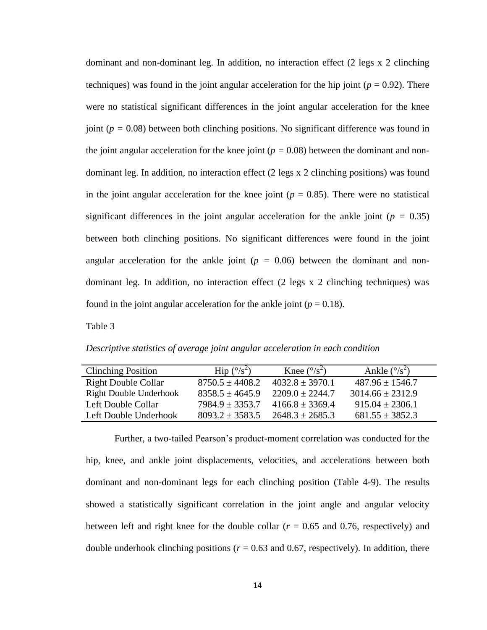dominant and non-dominant leg. In addition, no interaction effect (2 legs x 2 clinching techniques) was found in the joint angular acceleration for the hip joint ( $p = 0.92$ ). There were no statistical significant differences in the joint angular acceleration for the knee joint (*p =* 0.08) between both clinching positions*.* No significant difference was found in the joint angular acceleration for the knee joint ( $p = 0.08$ ) between the dominant and nondominant leg. In addition, no interaction effect (2 legs x 2 clinching positions) was found in the joint angular acceleration for the knee joint ( $p = 0.85$ ). There were no statistical significant differences in the joint angular acceleration for the ankle joint  $(p = 0.35)$ between both clinching positions*.* No significant differences were found in the joint angular acceleration for the ankle joint  $(p = 0.06)$  between the dominant and nondominant leg. In addition, no interaction effect (2 legs x 2 clinching techniques) was found in the joint angular acceleration for the ankle joint  $(p = 0.18)$ .

Table 3

*Descriptive statistics of average joint angular acceleration in each condition*

| <b>Clinching Position</b>     | Hip $(^{\circ}/s^2)$ | Knee $(^{\circ}/s^2)$ | Ankle $(^{\circ}/s^2)$ |
|-------------------------------|----------------------|-----------------------|------------------------|
| <b>Right Double Collar</b>    | $8750.5 \pm 4408.2$  | $4032.8 \pm 3970.1$   | $487.96 \pm 1546.7$    |
| <b>Right Double Underhook</b> | $8358.5 + 4645.9$    | $2209.0 + 2244.7$     | $3014.66 \pm 2312.9$   |
| Left Double Collar            | $7984.9 \pm 3353.7$  | $4166.8 + 3369.4$     | $915.04 \pm 2306.1$    |
| Left Double Underhook         | $8093.2 + 3583.5$    | $2648.3 + 2685.3$     | $681.55 \pm 3852.3$    |

Further, a two-tailed Pearson's product-moment correlation was conducted for the hip, knee, and ankle joint displacements, velocities, and accelerations between both dominant and non-dominant legs for each clinching position (Table 4-9). The results showed a statistically significant correlation in the joint angle and angular velocity between left and right knee for the double collar  $(r = 0.65$  and 0.76, respectively) and double underhook clinching positions ( $r = 0.63$  and 0.67, respectively). In addition, there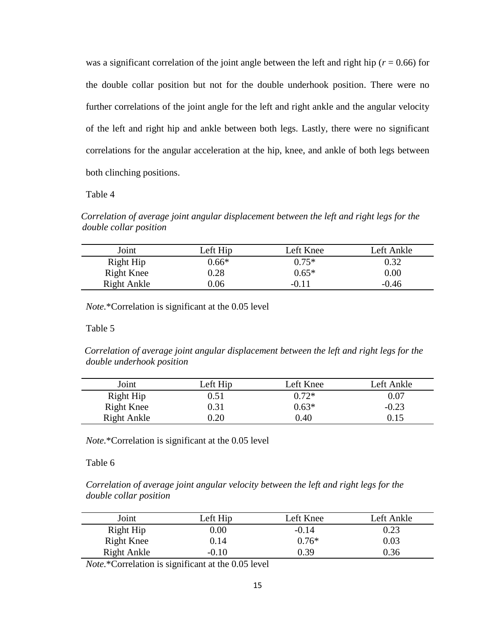was a significant correlation of the joint angle between the left and right hip ( $r = 0.66$ ) for the double collar position but not for the double underhook position. There were no further correlations of the joint angle for the left and right ankle and the angular velocity of the left and right hip and ankle between both legs. Lastly, there were no significant correlations for the angular acceleration at the hip, knee, and ankle of both legs between both clinching positions.

#### Table 4

*Correlation of average joint angular displacement between the left and right legs for the double collar position*

| Joint             | Left Hip | Left Knee | Left Ankle |
|-------------------|----------|-----------|------------|
| Right Hip         | $0.66*$  | $0.75*$   | 0.32       |
| <b>Right Knee</b> | $0.28\,$ | $0.65*$   | $0.00\,$   |
| Right Ankle       | 0.06     | -0.11     | $-0.46$    |

*Note.*\*Correlation is significant at the 0.05 level

Table 5

*Correlation of average joint angular displacement between the left and right legs for the double underhook position*

| Joint             | Left Hip | Left Knee | Left Ankle |
|-------------------|----------|-----------|------------|
| Right Hip         | ).51     | $0.72*$   | $0.07\,$   |
| <b>Right Knee</b> | 0.31     | $0.63*$   | $-0.23$    |
| Right Ankle       | 0.20     | 0.40      |            |

*Note.*\*Correlation is significant at the 0.05 level

Table 6

*Correlation of average joint angular velocity between the left and right legs for the double collar position*

| Joint             | Left Hip | Left Knee | Left Ankle |
|-------------------|----------|-----------|------------|
| Right Hip         | $0.00\,$ | $-0.14$   | 0.23       |
| <b>Right Knee</b> | 0.14     | $0.76*$   | 0.03       |
| Right Ankle       | $-0.10$  | 0.39      | 0.36       |

*Note.*\*Correlation is significant at the 0.05 level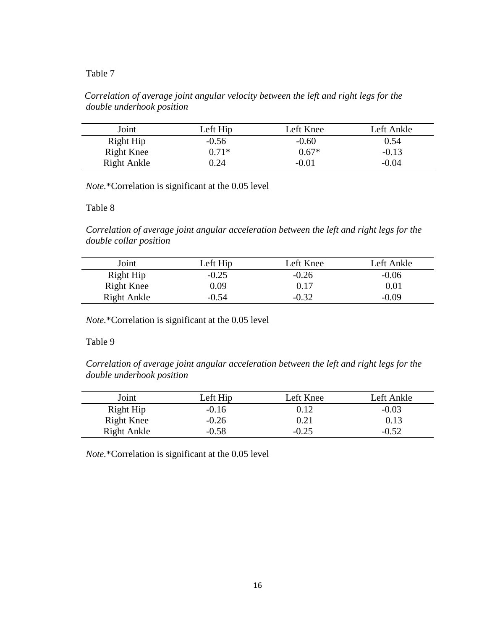#### Table 7

#### *Correlation of average joint angular velocity between the left and right legs for the double underhook position*

| Joint             | Left Hip | Left Knee | Left Ankle |
|-------------------|----------|-----------|------------|
| Right Hip         | $-0.56$  | $-0.60$   | 0.54       |
| <b>Right Knee</b> | $0.71*$  | $0.67*$   | $-0.13$    |
| Right Ankle       | 0.24     | $-0.01$   | $-0.04$    |

*Note.*\*Correlation is significant at the 0.05 level

Table 8

*Correlation of average joint angular acceleration between the left and right legs for the double collar position*

| Joint       | Left Hip | Left Knee | Left Ankle |
|-------------|----------|-----------|------------|
| Right Hip   | $-0.25$  | $-0.26$   | $-0.06$    |
| Right Knee  | 0.09     | 0.17      | $0.01\,$   |
| Right Ankle | $-0.54$  | $-0.32$   | -0 09      |

*Note.*\*Correlation is significant at the 0.05 level

Table 9

*Correlation of average joint angular acceleration between the left and right legs for the double underhook position*

| Joint             | Left Hip | Left Knee | Left Ankle |
|-------------------|----------|-----------|------------|
| Right Hip         | $-0.16$  | 0.12      | $-0.03$    |
| <b>Right Knee</b> | $-0.26$  | 0.21      | 0.13       |
| Right Ankle       | $-0.58$  | $-0.25$   | $-0.52$    |

*Note.*\*Correlation is significant at the 0.05 level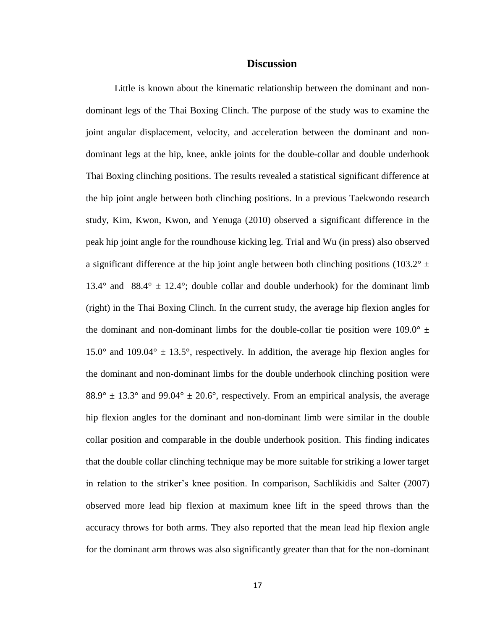#### **Discussion**

Little is known about the kinematic relationship between the dominant and nondominant legs of the Thai Boxing Clinch. The purpose of the study was to examine the joint angular displacement, velocity, and acceleration between the dominant and nondominant legs at the hip, knee, ankle joints for the double-collar and double underhook Thai Boxing clinching positions. The results revealed a statistical significant difference at the hip joint angle between both clinching positions. In a previous Taekwondo research study, Kim, Kwon, Kwon, and Yenuga (2010) observed a significant difference in the peak hip joint angle for the roundhouse kicking leg. Trial and Wu (in press) also observed a significant difference at the hip joint angle between both clinching positions (103.2°  $\pm$ 13.4° and 88.4°  $\pm$  12.4°; double collar and double underhook) for the dominant limb (right) in the Thai Boxing Clinch. In the current study, the average hip flexion angles for the dominant and non-dominant limbs for the double-collar tie position were  $109.0^{\circ}$   $\pm$ 15.0° and 109.04°  $\pm$  13.5°, respectively. In addition, the average hip flexion angles for the dominant and non-dominant limbs for the double underhook clinching position were  $88.9^{\circ} \pm 13.3^{\circ}$  and  $99.04^{\circ} \pm 20.6^{\circ}$ , respectively. From an empirical analysis, the average hip flexion angles for the dominant and non-dominant limb were similar in the double collar position and comparable in the double underhook position. This finding indicates that the double collar clinching technique may be more suitable for striking a lower target in relation to the striker's knee position. In comparison, Sachlikidis and Salter (2007) observed more lead hip flexion at maximum knee lift in the speed throws than the accuracy throws for both arms. They also reported that the mean lead hip flexion angle for the dominant arm throws was also significantly greater than that for the non-dominant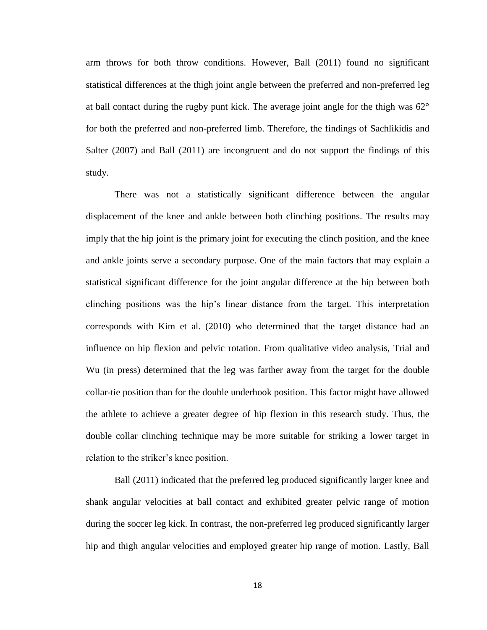arm throws for both throw conditions. However, Ball (2011) found no significant statistical differences at the thigh joint angle between the preferred and non-preferred leg at ball contact during the rugby punt kick. The average joint angle for the thigh was  $62^{\circ}$ for both the preferred and non-preferred limb. Therefore, the findings of Sachlikidis and Salter (2007) and Ball (2011) are incongruent and do not support the findings of this study.

There was not a statistically significant difference between the angular displacement of the knee and ankle between both clinching positions. The results may imply that the hip joint is the primary joint for executing the clinch position, and the knee and ankle joints serve a secondary purpose. One of the main factors that may explain a statistical significant difference for the joint angular difference at the hip between both clinching positions was the hip's linear distance from the target. This interpretation corresponds with Kim et al. (2010) who determined that the target distance had an influence on hip flexion and pelvic rotation. From qualitative video analysis, Trial and Wu (in press) determined that the leg was farther away from the target for the double collar-tie position than for the double underhook position. This factor might have allowed the athlete to achieve a greater degree of hip flexion in this research study. Thus, the double collar clinching technique may be more suitable for striking a lower target in relation to the striker's knee position.

Ball (2011) indicated that the preferred leg produced significantly larger knee and shank angular velocities at ball contact and exhibited greater pelvic range of motion during the soccer leg kick. In contrast, the non-preferred leg produced significantly larger hip and thigh angular velocities and employed greater hip range of motion. Lastly, Ball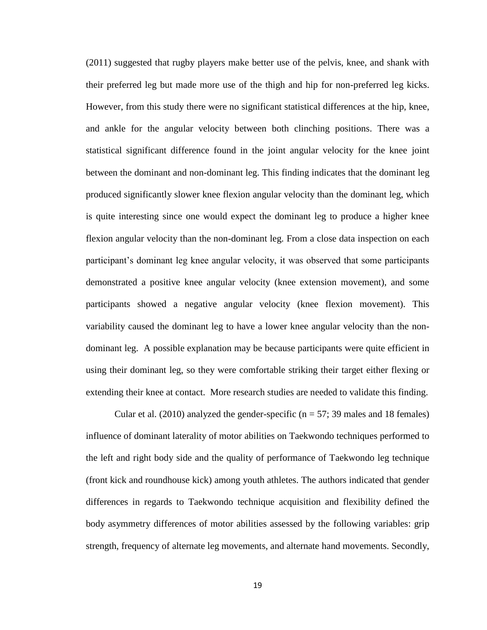(2011) suggested that rugby players make better use of the pelvis, knee, and shank with their preferred leg but made more use of the thigh and hip for non-preferred leg kicks. However, from this study there were no significant statistical differences at the hip, knee, and ankle for the angular velocity between both clinching positions. There was a statistical significant difference found in the joint angular velocity for the knee joint between the dominant and non-dominant leg. This finding indicates that the dominant leg produced significantly slower knee flexion angular velocity than the dominant leg, which is quite interesting since one would expect the dominant leg to produce a higher knee flexion angular velocity than the non-dominant leg. From a close data inspection on each participant's dominant leg knee angular velocity, it was observed that some participants demonstrated a positive knee angular velocity (knee extension movement), and some participants showed a negative angular velocity (knee flexion movement). This variability caused the dominant leg to have a lower knee angular velocity than the nondominant leg. A possible explanation may be because participants were quite efficient in using their dominant leg, so they were comfortable striking their target either flexing or extending their knee at contact. More research studies are needed to validate this finding.

Cular et al. (2010) analyzed the gender-specific ( $n = 57$ ; 39 males and 18 females) influence of dominant laterality of motor abilities on Taekwondo techniques performed to the left and right body side and the quality of performance of Taekwondo leg technique (front kick and roundhouse kick) among youth athletes. The authors indicated that gender differences in regards to Taekwondo technique acquisition and flexibility defined the body asymmetry differences of motor abilities assessed by the following variables: grip strength, frequency of alternate leg movements, and alternate hand movements. Secondly,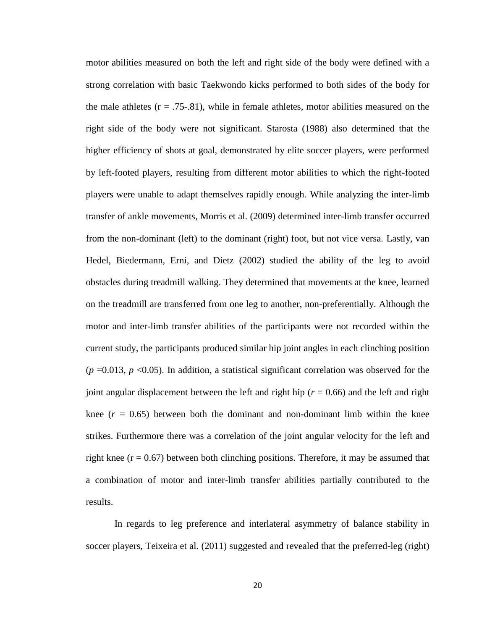motor abilities measured on both the left and right side of the body were defined with a strong correlation with basic Taekwondo kicks performed to both sides of the body for the male athletes  $(r = .75-.81)$ , while in female athletes, motor abilities measured on the right side of the body were not significant. Starosta (1988) also determined that the higher efficiency of shots at goal, demonstrated by elite soccer players, were performed by left-footed players, resulting from different motor abilities to which the right-footed players were unable to adapt themselves rapidly enough. While analyzing the inter-limb transfer of ankle movements, Morris et al. (2009) determined inter-limb transfer occurred from the non-dominant (left) to the dominant (right) foot, but not vice versa. Lastly, van Hedel, Biedermann, Erni, and Dietz (2002) studied the ability of the leg to avoid obstacles during treadmill walking. They determined that movements at the knee, learned on the treadmill are transferred from one leg to another, non-preferentially. Although the motor and inter-limb transfer abilities of the participants were not recorded within the current study, the participants produced similar hip joint angles in each clinching position  $(p = 0.013, p < 0.05)$ . In addition, a statistical significant correlation was observed for the joint angular displacement between the left and right hip (*r* = 0.66) and the left and right knee  $(r = 0.65)$  between both the dominant and non-dominant limb within the knee strikes. Furthermore there was a correlation of the joint angular velocity for the left and right knee  $(r = 0.67)$  between both clinching positions. Therefore, it may be assumed that a combination of motor and inter-limb transfer abilities partially contributed to the results.

In regards to leg preference and interlateral asymmetry of balance stability in soccer players, Teixeira et al. (2011) suggested and revealed that the preferred-leg (right)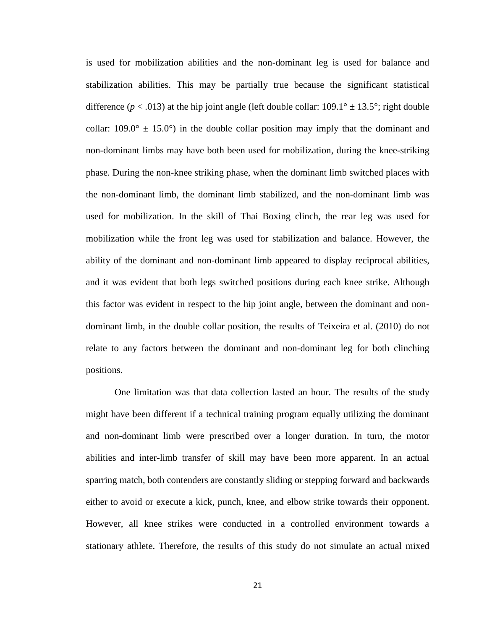is used for mobilization abilities and the non-dominant leg is used for balance and stabilization abilities. This may be partially true because the significant statistical difference ( $p < .013$ ) at the hip joint angle (left double collar:  $109.1^\circ \pm 13.5^\circ$ ; right double collar:  $109.0^{\circ} \pm 15.0^{\circ}$  in the double collar position may imply that the dominant and non-dominant limbs may have both been used for mobilization, during the knee-striking phase. During the non-knee striking phase, when the dominant limb switched places with the non-dominant limb, the dominant limb stabilized, and the non-dominant limb was used for mobilization. In the skill of Thai Boxing clinch, the rear leg was used for mobilization while the front leg was used for stabilization and balance. However, the ability of the dominant and non-dominant limb appeared to display reciprocal abilities, and it was evident that both legs switched positions during each knee strike. Although this factor was evident in respect to the hip joint angle, between the dominant and nondominant limb, in the double collar position, the results of Teixeira et al. (2010) do not relate to any factors between the dominant and non-dominant leg for both clinching positions.

One limitation was that data collection lasted an hour. The results of the study might have been different if a technical training program equally utilizing the dominant and non-dominant limb were prescribed over a longer duration. In turn, the motor abilities and inter-limb transfer of skill may have been more apparent. In an actual sparring match, both contenders are constantly sliding or stepping forward and backwards either to avoid or execute a kick, punch, knee, and elbow strike towards their opponent. However, all knee strikes were conducted in a controlled environment towards a stationary athlete. Therefore, the results of this study do not simulate an actual mixed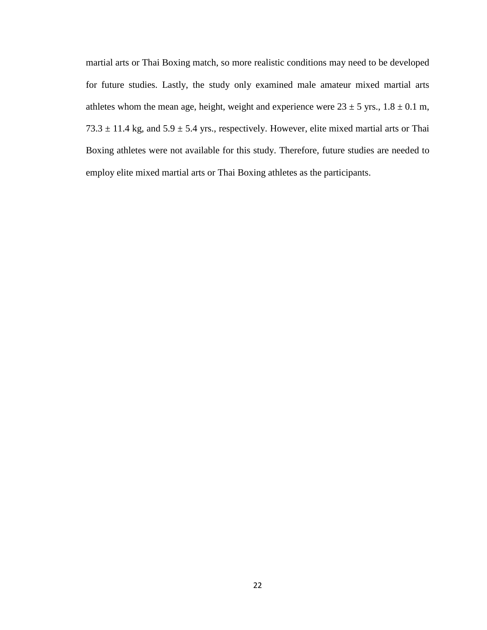martial arts or Thai Boxing match, so more realistic conditions may need to be developed for future studies. Lastly, the study only examined male amateur mixed martial arts athletes whom the mean age, height, weight and experience were  $23 \pm 5$  yrs.,  $1.8 \pm 0.1$  m, 73.3  $\pm$  11.4 kg, and 5.9  $\pm$  5.4 yrs., respectively. However, elite mixed martial arts or Thai Boxing athletes were not available for this study. Therefore, future studies are needed to employ elite mixed martial arts or Thai Boxing athletes as the participants.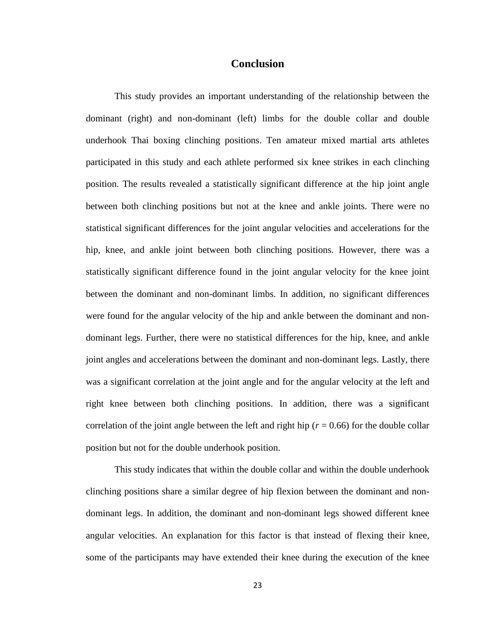#### **Conclusion**

This study provides an important understanding of the relationship between the dominant (right) and non-dominant (left) limbs for the double collar and double underhook Thai boxing clinching positions. Ten amateur mixed martial arts athletes participated in this study and each athlete performed six knee strikes in each clinching position. The results revealed a statistically significant difference at the hip joint angle between both clinching positions but not at the knee and ankle joints. There were no statistical significant differences for the joint angular velocities and accelerations for the hip, knee, and ankle joint between both clinching positions*.* However, there was a statistically significant difference found in the joint angular velocity for the knee joint between the dominant and non-dominant limbs. In addition, no significant differences were found for the angular velocity of the hip and ankle between the dominant and nondominant legs. Further, there were no statistical differences for the hip, knee, and ankle joint angles and accelerations between the dominant and non-dominant legs. Lastly, there was a significant correlation at the joint angle and for the angular velocity at the left and right knee between both clinching positions. In addition, there was a significant correlation of the joint angle between the left and right hip ( $r = 0.66$ ) for the double collar position but not for the double underhook position.

This study indicates that within the double collar and within the double underhook clinching positions share a similar degree of hip flexion between the dominant and nondominant legs. In addition, the dominant and non-dominant legs showed different knee angular velocities. An explanation for this factor is that instead of flexing their knee, some of the participants may have extended their knee during the execution of the knee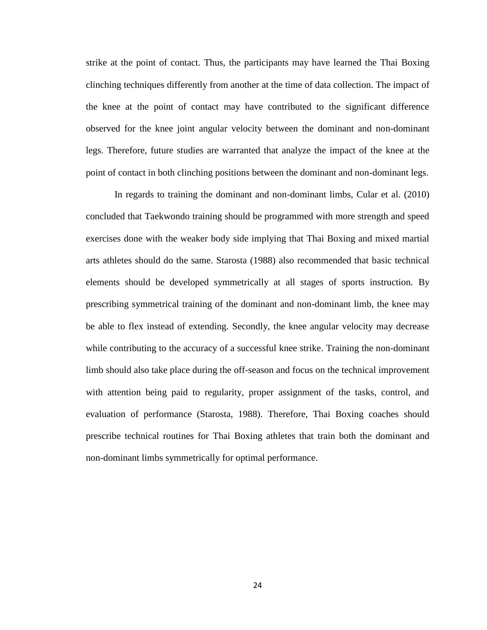strike at the point of contact. Thus, the participants may have learned the Thai Boxing clinching techniques differently from another at the time of data collection. The impact of the knee at the point of contact may have contributed to the significant difference observed for the knee joint angular velocity between the dominant and non-dominant legs. Therefore, future studies are warranted that analyze the impact of the knee at the point of contact in both clinching positions between the dominant and non-dominant legs.

In regards to training the dominant and non-dominant limbs, Cular et al. (2010) concluded that Taekwondo training should be programmed with more strength and speed exercises done with the weaker body side implying that Thai Boxing and mixed martial arts athletes should do the same. Starosta (1988) also recommended that basic technical elements should be developed symmetrically at all stages of sports instruction. By prescribing symmetrical training of the dominant and non-dominant limb, the knee may be able to flex instead of extending. Secondly, the knee angular velocity may decrease while contributing to the accuracy of a successful knee strike. Training the non-dominant limb should also take place during the off-season and focus on the technical improvement with attention being paid to regularity, proper assignment of the tasks, control, and evaluation of performance (Starosta, 1988). Therefore, Thai Boxing coaches should prescribe technical routines for Thai Boxing athletes that train both the dominant and non-dominant limbs symmetrically for optimal performance.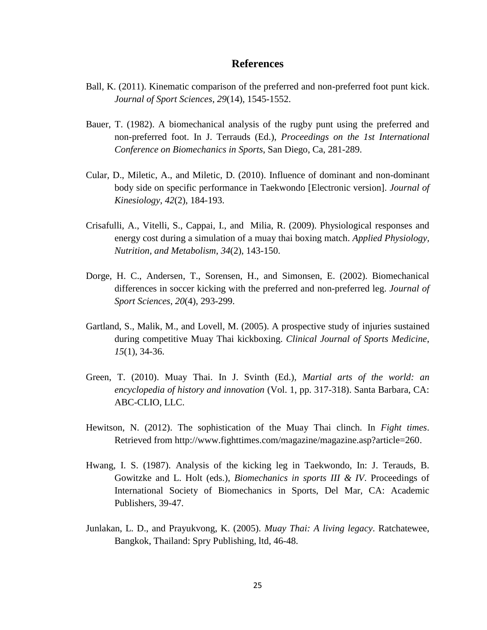#### **References**

- Ball, K. (2011). Kinematic comparison of the preferred and non-preferred foot punt kick. *Journal of Sport Sciences*, *29*(14), 1545-1552.
- Bauer, T. (1982). A biomechanical analysis of the rugby punt using the preferred and non-preferred foot. In J. Terrauds (Ed.), *Proceedings on the 1st International Conference on Biomechanics in Sports*, San Diego, Ca, 281-289.
- Cular, D., Miletic, A., and Miletic, D. (2010). Influence of dominant and non-dominant body side on specific performance in Taekwondo [Electronic version]. *Journal of Kinesiology*, *42*(2), 184-193.
- Crisafulli, A., Vitelli, S., Cappai, I., and Milia, R. (2009). Physiological responses and energy cost during a simulation of a muay thai boxing match. *Applied Physiology, Nutrition, and Metabolism*, *34*(2), 143-150.
- Dorge, H. C., Andersen, T., Sorensen, H., and Simonsen, E. (2002). Biomechanical differences in soccer kicking with the preferred and non-preferred leg. *Journal of Sport Sciences*, *20*(4), 293-299.
- Gartland, S., Malik, M., and Lovell, M. (2005). A prospective study of injuries sustained during competitive Muay Thai kickboxing. *Clinical Journal of Sports Medicine*, *15*(1), 34-36.
- Green, T. (2010). Muay Thai. In J. Svinth (Ed.), *Martial arts of the world: an encyclopedia of history and innovation* (Vol. 1, pp. 317-318). Santa Barbara, CA: ABC-CLIO, LLC.
- Hewitson, N. (2012). The sophistication of the Muay Thai clinch. In *Fight times*. Retrieved from http://www.fighttimes.com/magazine/magazine.asp?article=260.
- Hwang, I. S. (1987). Analysis of the kicking leg in Taekwondo, In: J. Terauds, B. Gowitzke and L. Holt (eds.), *Biomechanics in sports III & IV*. Proceedings of International Society of Biomechanics in Sports, Del Mar, CA: Academic Publishers, 39-47.
- Junlakan, L. D., and Prayukvong, K. (2005). *Muay Thai: A living legacy*. Ratchatewee, Bangkok, Thailand: Spry Publishing, ltd, 46-48.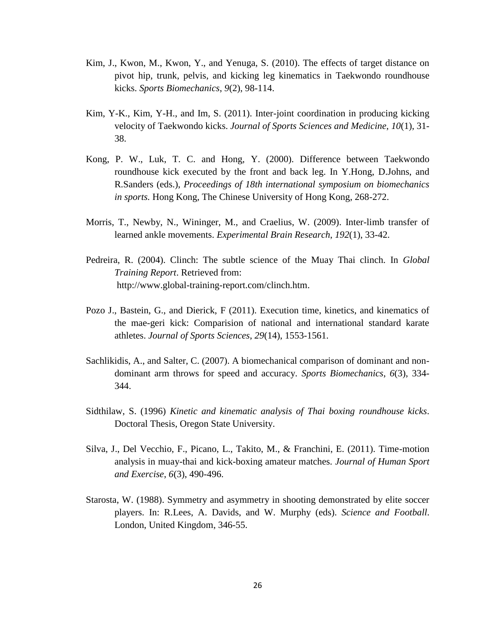- Kim, J., Kwon, M., Kwon, Y., and Yenuga, S. (2010). The effects of target distance on pivot hip, trunk, pelvis, and kicking leg kinematics in Taekwondo roundhouse kicks. *Sports Biomechanics*, *9*(2), 98-114.
- Kim, Y-K., Kim, Y-H., and Im, S. (2011). Inter-joint coordination in producing kicking velocity of Taekwondo kicks. *Journal of Sports Sciences and Medicine*, *10*(1), 31- 38.
- Kong, P. W., Luk, T. C. and Hong, Y. (2000). Difference between Taekwondo roundhouse kick executed by the front and back leg. In Y.Hong, D.Johns, and R.Sanders (eds.), *Proceedings of 18th international symposium on biomechanics in sports.* Hong Kong, The Chinese University of Hong Kong, 268-272.
- Morris, T., Newby, N., Wininger, M., and Craelius, W. (2009). Inter-limb transfer of learned ankle movements. *Experimental Brain Research*, *192*(1), 33-42.
- Pedreira, R. (2004). Clinch: The subtle science of the Muay Thai clinch. In *Global Training Report*. Retrieved from: http://www.global-training-report.com/clinch.htm.
- Pozo J., Bastein, G., and Dierick, F (2011). Execution time, kinetics, and kinematics of the mae-geri kick: Comparision of national and international standard karate athletes. *Journal of Sports Sciences*, *29*(14), 1553-1561.
- Sachlikidis, A., and Salter, C. (2007). A biomechanical comparison of dominant and nondominant arm throws for speed and accuracy. *Sports Biomechanics*, *6*(3), 334- 344.
- Sidthilaw, S. (1996) *Kinetic and kinematic analysis of Thai boxing roundhouse kicks*. Doctoral Thesis, Oregon State University.
- Silva, J., Del Vecchio, F., Picano, L., Takito, M., & Franchini, E. (2011). Time-motion analysis in muay-thai and kick-boxing amateur matches. *Journal of Human Sport and Exercise*, *6*(3), 490-496.
- Starosta, W. (1988). Symmetry and asymmetry in shooting demonstrated by elite soccer players. In: R.Lees, A. Davids, and W. Murphy (eds). *Science and Football*. London, United Kingdom, 346-55.